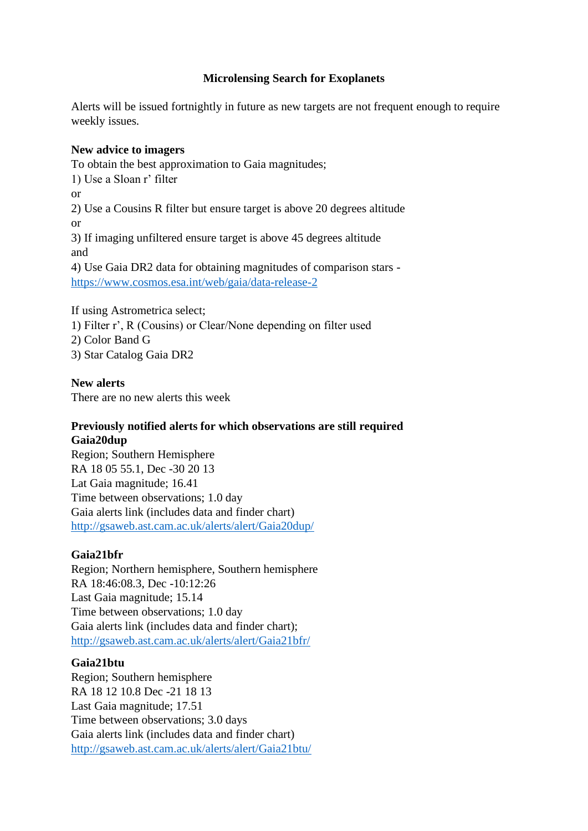# **Microlensing Search for Exoplanets**

Alerts will be issued fortnightly in future as new targets are not frequent enough to require weekly issues.

#### **New advice to imagers**

To obtain the best approximation to Gaia magnitudes; 1) Use a Sloan r' filter or 2) Use a Cousins R filter but ensure target is above 20 degrees altitude or 3) If imaging unfiltered ensure target is above 45 degrees altitude and 4) Use Gaia DR2 data for obtaining magnitudes of comparison stars <https://www.cosmos.esa.int/web/gaia/data-release-2>

If using Astrometrica select; 1) Filter r', R (Cousins) or Clear/None depending on filter used 2) Color Band G 3) Star Catalog Gaia DR2

## **New alerts**

There are no new alerts this week

#### **Previously notified alerts for which observations are still required Gaia20dup**

Region; Southern Hemisphere RA 18 05 55.1, Dec -30 20 13 Lat Gaia magnitude; 16.41 Time between observations; 1.0 day Gaia alerts link (includes data and finder chart) <http://gsaweb.ast.cam.ac.uk/alerts/alert/Gaia20dup/>

#### **Gaia21bfr**

Region; Northern hemisphere, Southern hemisphere RA 18:46:08.3, Dec -10:12:26 Last Gaia magnitude; 15.14 Time between observations; 1.0 day Gaia alerts link (includes data and finder chart); <http://gsaweb.ast.cam.ac.uk/alerts/alert/Gaia21bfr/>

#### **Gaia21btu**

Region; Southern hemisphere RA 18 12 10.8 Dec -21 18 13 Last Gaia magnitude; 17.51 Time between observations; 3.0 days Gaia alerts link (includes data and finder chart) <http://gsaweb.ast.cam.ac.uk/alerts/alert/Gaia21btu/>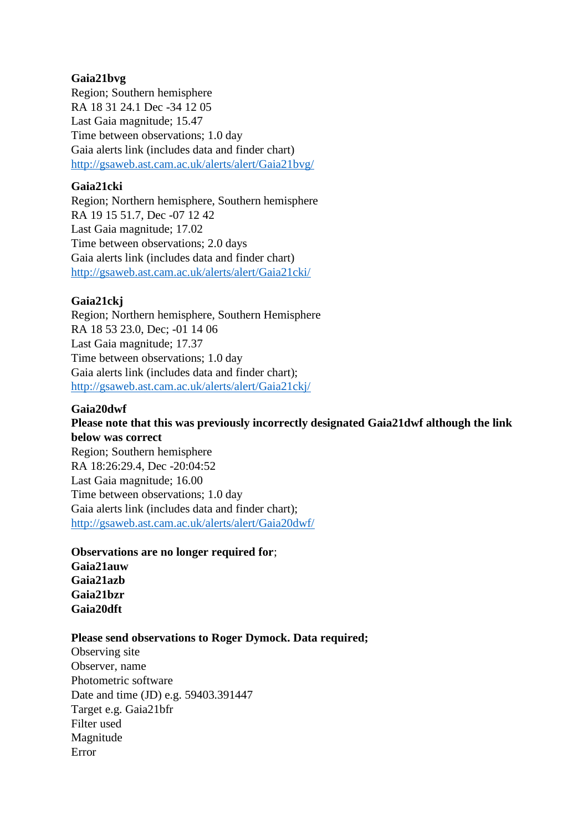## **Gaia21bvg**

Region; Southern hemisphere RA 18 31 24.1 Dec -34 12 05 Last Gaia magnitude; 15.47 Time between observations; 1.0 day Gaia alerts link (includes data and finder chart) <http://gsaweb.ast.cam.ac.uk/alerts/alert/Gaia21bvg/>

### **Gaia21cki**

Region; Northern hemisphere, Southern hemisphere RA 19 15 51.7, Dec -07 12 42 Last Gaia magnitude; 17.02 Time between observations; 2.0 days Gaia alerts link (includes data and finder chart) <http://gsaweb.ast.cam.ac.uk/alerts/alert/Gaia21cki/>

# **Gaia21ckj**

Region; Northern hemisphere, Southern Hemisphere RA 18 53 23.0, Dec; -01 14 06 Last Gaia magnitude; 17.37 Time between observations; 1.0 day Gaia alerts link (includes data and finder chart); <http://gsaweb.ast.cam.ac.uk/alerts/alert/Gaia21ckj/>

## **Gaia20dwf**

**Gaia20dft**

**Please note that this was previously incorrectly designated Gaia21dwf although the link below was correct** Region; Southern hemisphere RA 18:26:29.4, Dec -20:04:52 Last Gaia magnitude; 16.00 Time between observations; 1.0 day Gaia alerts link (includes data and finder chart); <http://gsaweb.ast.cam.ac.uk/alerts/alert/Gaia20dwf/>

# **Observations are no longer required for**; **Gaia21auw Gaia21azb Gaia21bzr**

# **Please send observations to Roger Dymock. Data required;**

Observing site Observer, name Photometric software Date and time (JD) e.g. 59403.391447 Target e.g. Gaia21bfr Filter used Magnitude Error